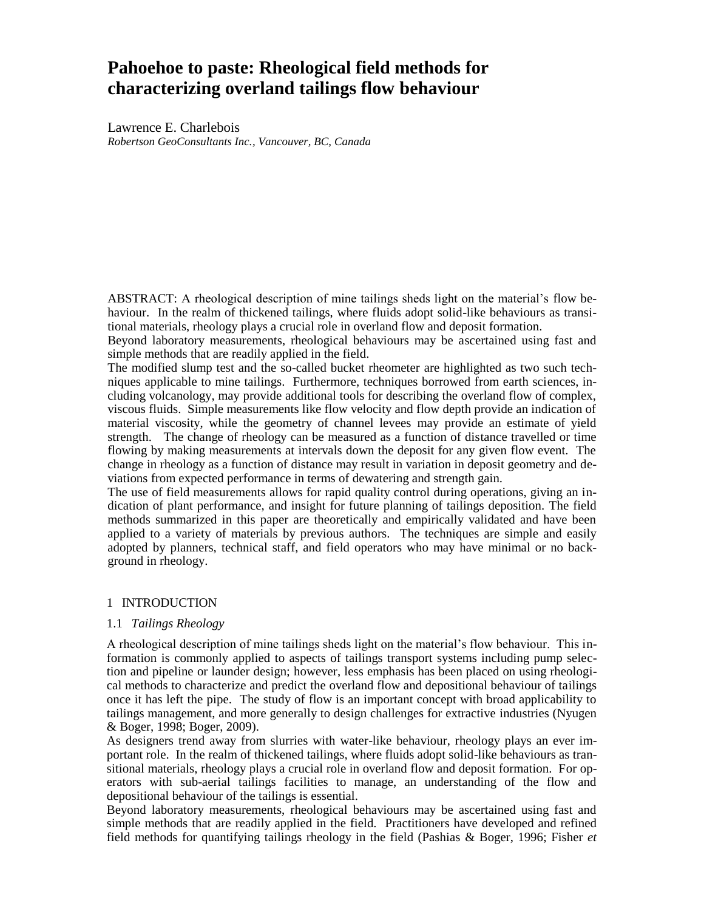# **Pahoehoe to paste: Rheological field methods for characterizing overland tailings flow behaviour**

Lawrence E. Charlebois *Robertson GeoConsultants Inc., Vancouver, BC, Canada*

ABSTRACT: A rheological description of mine tailings sheds light on the material's flow behaviour. In the realm of thickened tailings, where fluids adopt solid-like behaviours as transitional materials, rheology plays a crucial role in overland flow and deposit formation.

Beyond laboratory measurements, rheological behaviours may be ascertained using fast and simple methods that are readily applied in the field.

The modified slump test and the so-called bucket rheometer are highlighted as two such techniques applicable to mine tailings. Furthermore, techniques borrowed from earth sciences, including volcanology, may provide additional tools for describing the overland flow of complex, viscous fluids. Simple measurements like flow velocity and flow depth provide an indication of material viscosity, while the geometry of channel levees may provide an estimate of yield strength. The change of rheology can be measured as a function of distance travelled or time flowing by making measurements at intervals down the deposit for any given flow event. The change in rheology as a function of distance may result in variation in deposit geometry and deviations from expected performance in terms of dewatering and strength gain.

The use of field measurements allows for rapid quality control during operations, giving an indication of plant performance, and insight for future planning of tailings deposition. The field methods summarized in this paper are theoretically and empirically validated and have been applied to a variety of materials by previous authors. The techniques are simple and easily adopted by planners, technical staff, and field operators who may have minimal or no background in rheology.

## 1 INTRODUCTION

## 1.1 *Tailings Rheology*

A rheological description of mine tailings sheds light on the material's flow behaviour. This information is commonly applied to aspects of tailings transport systems including pump selection and pipeline or launder design; however, less emphasis has been placed on using rheological methods to characterize and predict the overland flow and depositional behaviour of tailings once it has left the pipe. The study of flow is an important concept with broad applicability to tailings management, and more generally to design challenges for extractive industries (Nyugen & Boger, 1998; Boger, 2009).

As designers trend away from slurries with water-like behaviour, rheology plays an ever important role. In the realm of thickened tailings, where fluids adopt solid-like behaviours as transitional materials, rheology plays a crucial role in overland flow and deposit formation. For operators with sub-aerial tailings facilities to manage, an understanding of the flow and depositional behaviour of the tailings is essential.

Beyond laboratory measurements, rheological behaviours may be ascertained using fast and simple methods that are readily applied in the field. Practitioners have developed and refined field methods for quantifying tailings rheology in the field (Pashias & Boger, 1996; Fisher *et*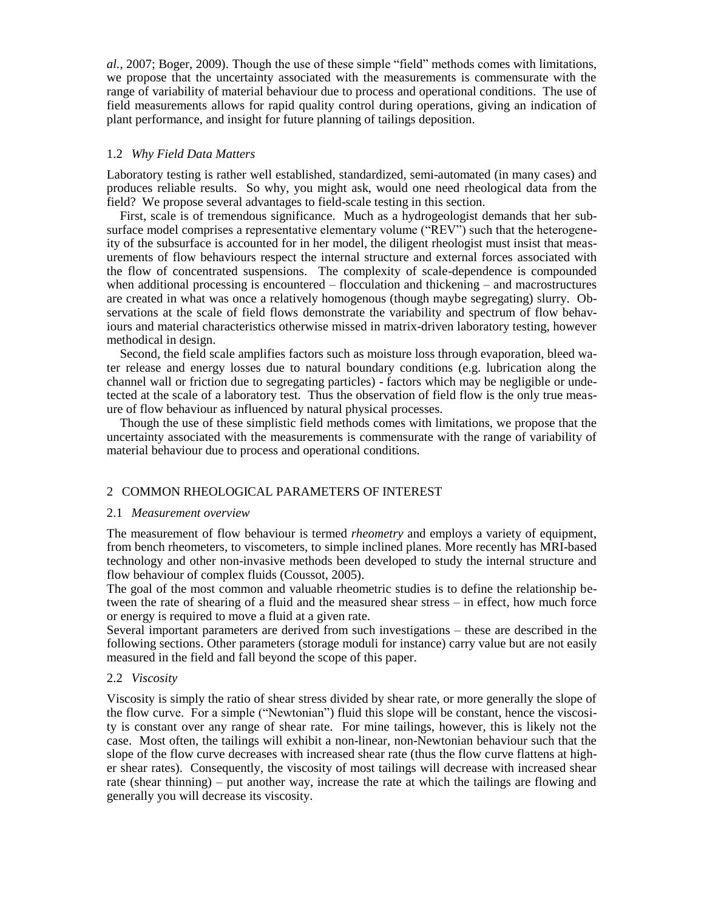*al.*, 2007; Boger, 2009). Though the use of these simple "field" methods comes with limitations, we propose that the uncertainty associated with the measurements is commensurate with the range of variability of material behaviour due to process and operational conditions. The use of field measurements allows for rapid quality control during operations, giving an indication of plant performance, and insight for future planning of tailings deposition.

## 1.2 *Why Field Data Matters*

Laboratory testing is rather well established, standardized, semi-automated (in many cases) and produces reliable results. So why, you might ask, would one need rheological data from the field? We propose several advantages to field-scale testing in this section.

First, scale is of tremendous significance. Much as a hydrogeologist demands that her subsurface model comprises a representative elementary volume ("REV") such that the heterogeneity of the subsurface is accounted for in her model, the diligent rheologist must insist that measurements of flow behaviours respect the internal structure and external forces associated with the flow of concentrated suspensions. The complexity of scale-dependence is compounded when additional processing is encountered – flocculation and thickening – and macrostructures are created in what was once a relatively homogenous (though maybe segregating) slurry. Observations at the scale of field flows demonstrate the variability and spectrum of flow behaviours and material characteristics otherwise missed in matrix-driven laboratory testing, however methodical in design.

Second, the field scale amplifies factors such as moisture loss through evaporation, bleed water release and energy losses due to natural boundary conditions (e.g. lubrication along the channel wall or friction due to segregating particles) - factors which may be negligible or undetected at the scale of a laboratory test. Thus the observation of field flow is the only true measure of flow behaviour as influenced by natural physical processes.

Though the use of these simplistic field methods comes with limitations, we propose that the uncertainty associated with the measurements is commensurate with the range of variability of material behaviour due to process and operational conditions.

# 2 COMMON RHEOLOGICAL PARAMETERS OF INTEREST

## 2.1 *Measurement overview*

The measurement of flow behaviour is termed *rheometry* and employs a variety of equipment, from bench rheometers, to viscometers, to simple inclined planes. More recently has MRI-based technology and other non-invasive methods been developed to study the internal structure and flow behaviour of complex fluids (Coussot, 2005).

The goal of the most common and valuable rheometric studies is to define the relationship between the rate of shearing of a fluid and the measured shear stress – in effect, how much force or energy is required to move a fluid at a given rate.

Several important parameters are derived from such investigations – these are described in the following sections. Other parameters (storage moduli for instance) carry value but are not easily measured in the field and fall beyond the scope of this paper.

## 2.2 *Viscosity*

Viscosity is simply the ratio of shear stress divided by shear rate, or more generally the slope of the flow curve. For a simple ("Newtonian") fluid this slope will be constant, hence the viscosity is constant over any range of shear rate. For mine tailings, however, this is likely not the case. Most often, the tailings will exhibit a non-linear, non-Newtonian behaviour such that the slope of the flow curve decreases with increased shear rate (thus the flow curve flattens at higher shear rates). Consequently, the viscosity of most tailings will decrease with increased shear rate (shear thinning) – put another way, increase the rate at which the tailings are flowing and generally you will decrease its viscosity.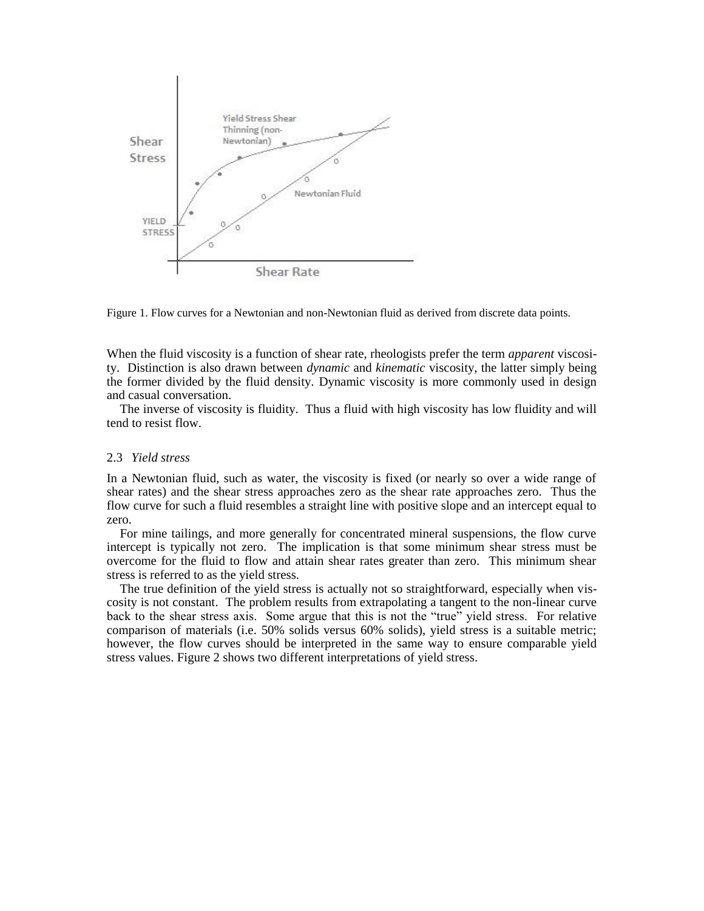

Figure 1. Flow curves for a Newtonian and non-Newtonian fluid as derived from discrete data points.

When the fluid viscosity is a function of shear rate, rheologists prefer the term *apparent* viscosity. Distinction is also drawn between *dynamic* and *kinematic* viscosity, the latter simply being the former divided by the fluid density. Dynamic viscosity is more commonly used in design and casual conversation.

The inverse of viscosity is fluidity. Thus a fluid with high viscosity has low fluidity and will tend to resist flow.

#### 2.3 *Yield stress*

In a Newtonian fluid, such as water, the viscosity is fixed (or nearly so over a wide range of shear rates) and the shear stress approaches zero as the shear rate approaches zero. Thus the flow curve for such a fluid resembles a straight line with positive slope and an intercept equal to zero.

For mine tailings, and more generally for concentrated mineral suspensions, the flow curve intercept is typically not zero. The implication is that some minimum shear stress must be overcome for the fluid to flow and attain shear rates greater than zero. This minimum shear stress is referred to as the yield stress.

The true definition of the yield stress is actually not so straightforward, especially when viscosity is not constant. The problem results from extrapolating a tangent to the non-linear curve back to the shear stress axis. Some argue that this is not the "true" yield stress. For relative comparison of materials (i.e. 50% solids versus 60% solids), yield stress is a suitable metric; however, the flow curves should be interpreted in the same way to ensure comparable yield stress values. Figure 2 shows two different interpretations of yield stress.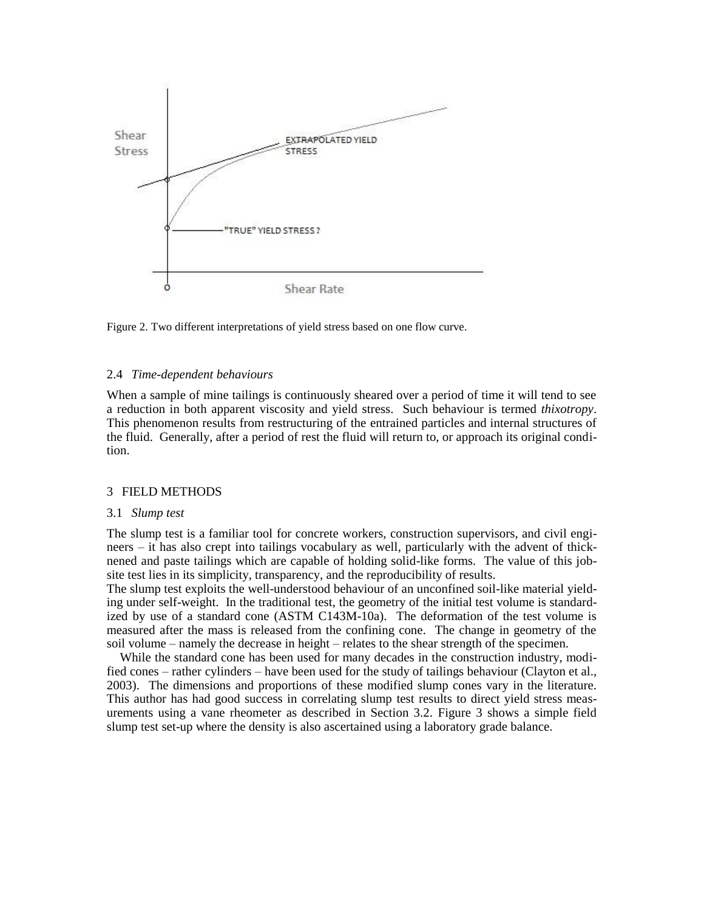

Figure 2. Two different interpretations of yield stress based on one flow curve.

#### 2.4 *Time-dependent behaviours*

When a sample of mine tailings is continuously sheared over a period of time it will tend to see a reduction in both apparent viscosity and yield stress. Such behaviour is termed *thixotropy*. This phenomenon results from restructuring of the entrained particles and internal structures of the fluid. Generally, after a period of rest the fluid will return to, or approach its original condition.

## 3 FIELD METHODS

#### 3.1 *Slump test*

The slump test is a familiar tool for concrete workers, construction supervisors, and civil engineers – it has also crept into tailings vocabulary as well, particularly with the advent of thicknened and paste tailings which are capable of holding solid-like forms. The value of this jobsite test lies in its simplicity, transparency, and the reproducibility of results.

The slump test exploits the well-understood behaviour of an unconfined soil-like material yielding under self-weight. In the traditional test, the geometry of the initial test volume is standardized by use of a standard cone (ASTM C143M-10a). The deformation of the test volume is measured after the mass is released from the confining cone. The change in geometry of the soil volume – namely the decrease in height – relates to the shear strength of the specimen.

While the standard cone has been used for many decades in the construction industry, modified cones – rather cylinders – have been used for the study of tailings behaviour (Clayton et al., 2003). The dimensions and proportions of these modified slump cones vary in the literature. This author has had good success in correlating slump test results to direct yield stress measurements using a vane rheometer as described in Section 3.2. Figure 3 shows a simple field slump test set-up where the density is also ascertained using a laboratory grade balance.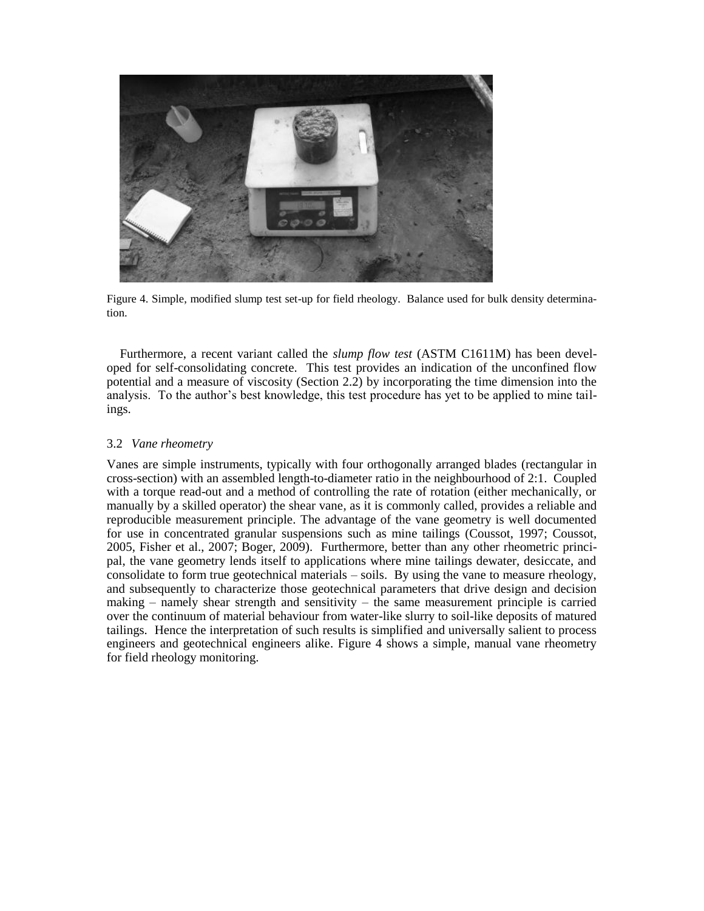

Figure 4. Simple, modified slump test set-up for field rheology. Balance used for bulk density determination.

Furthermore, a recent variant called the *slump flow test* (ASTM C1611M) has been developed for self-consolidating concrete. This test provides an indication of the unconfined flow potential and a measure of viscosity (Section 2.2) by incorporating the time dimension into the analysis. To the author's best knowledge, this test procedure has yet to be applied to mine tailings.

## 3.2 *Vane rheometry*

Vanes are simple instruments, typically with four orthogonally arranged blades (rectangular in cross-section) with an assembled length-to-diameter ratio in the neighbourhood of 2:1. Coupled with a torque read-out and a method of controlling the rate of rotation (either mechanically, or manually by a skilled operator) the shear vane, as it is commonly called, provides a reliable and reproducible measurement principle. The advantage of the vane geometry is well documented for use in concentrated granular suspensions such as mine tailings (Coussot, 1997; Coussot, 2005, Fisher et al., 2007; Boger, 2009). Furthermore, better than any other rheometric principal, the vane geometry lends itself to applications where mine tailings dewater, desiccate, and consolidate to form true geotechnical materials – soils. By using the vane to measure rheology, and subsequently to characterize those geotechnical parameters that drive design and decision making  $-$  namely shear strength and sensitivity  $-$  the same measurement principle is carried over the continuum of material behaviour from water-like slurry to soil-like deposits of matured tailings. Hence the interpretation of such results is simplified and universally salient to process engineers and geotechnical engineers alike. Figure 4 shows a simple, manual vane rheometry for field rheology monitoring.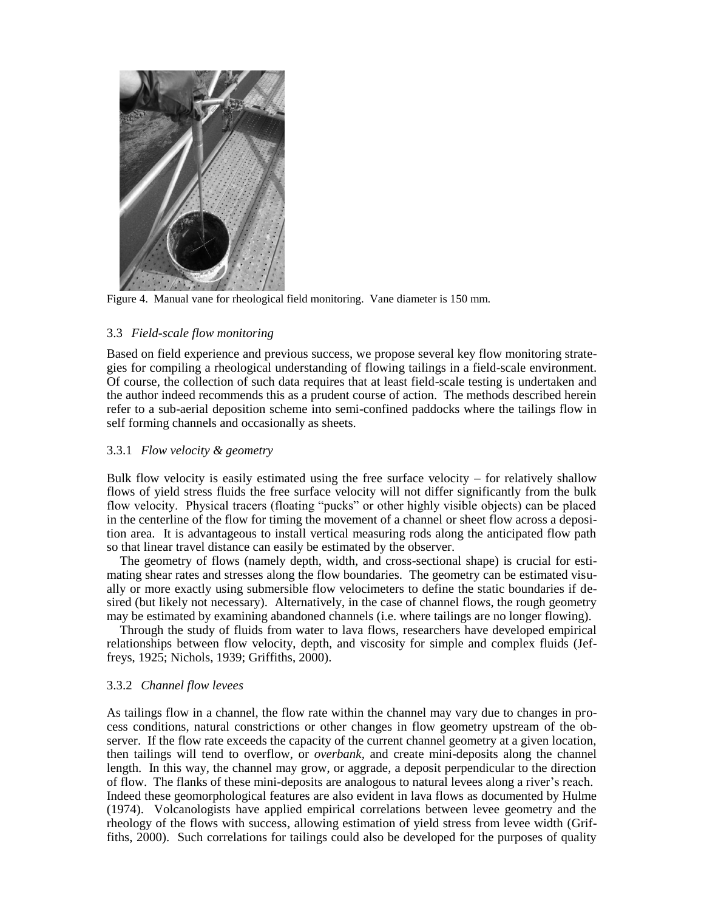

Figure 4. Manual vane for rheological field monitoring. Vane diameter is 150 mm.

## 3.3 *Field-scale flow monitoring*

Based on field experience and previous success, we propose several key flow monitoring strategies for compiling a rheological understanding of flowing tailings in a field-scale environment. Of course, the collection of such data requires that at least field-scale testing is undertaken and the author indeed recommends this as a prudent course of action. The methods described herein refer to a sub-aerial deposition scheme into semi-confined paddocks where the tailings flow in self forming channels and occasionally as sheets.

## 3.3.1 *Flow velocity & geometry*

Bulk flow velocity is easily estimated using the free surface velocity – for relatively shallow flows of yield stress fluids the free surface velocity will not differ significantly from the bulk flow velocity. Physical tracers (floating "pucks" or other highly visible objects) can be placed in the centerline of the flow for timing the movement of a channel or sheet flow across a deposition area. It is advantageous to install vertical measuring rods along the anticipated flow path so that linear travel distance can easily be estimated by the observer.

The geometry of flows (namely depth, width, and cross-sectional shape) is crucial for estimating shear rates and stresses along the flow boundaries. The geometry can be estimated visually or more exactly using submersible flow velocimeters to define the static boundaries if desired (but likely not necessary). Alternatively, in the case of channel flows, the rough geometry may be estimated by examining abandoned channels (i.e. where tailings are no longer flowing).

Through the study of fluids from water to lava flows, researchers have developed empirical relationships between flow velocity, depth, and viscosity for simple and complex fluids (Jeffreys, 1925; Nichols, 1939; Griffiths, 2000).

## 3.3.2 *Channel flow levees*

As tailings flow in a channel, the flow rate within the channel may vary due to changes in process conditions, natural constrictions or other changes in flow geometry upstream of the observer. If the flow rate exceeds the capacity of the current channel geometry at a given location, then tailings will tend to overflow, or *overbank,* and create mini-deposits along the channel length. In this way, the channel may grow, or aggrade, a deposit perpendicular to the direction of flow. The flanks of these mini-deposits are analogous to natural levees along a river's reach. Indeed these geomorphological features are also evident in lava flows as documented by Hulme (1974). Volcanologists have applied empirical correlations between levee geometry and the rheology of the flows with success, allowing estimation of yield stress from levee width (Griffiths, 2000). Such correlations for tailings could also be developed for the purposes of quality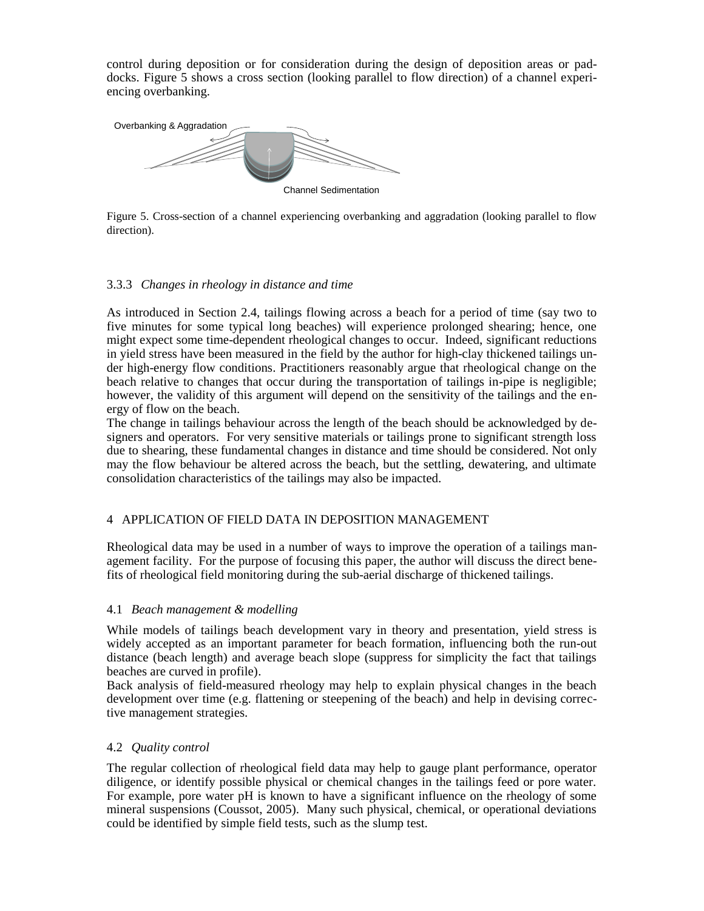control during deposition or for consideration during the design of deposition areas or paddocks. Figure 5 shows a cross section (looking parallel to flow direction) of a channel experiencing overbanking.



Figure 5. Cross-section of a channel experiencing overbanking and aggradation (looking parallel to flow direction).

# 3.3.3 *Changes in rheology in distance and time*

As introduced in Section 2.4, tailings flowing across a beach for a period of time (say two to five minutes for some typical long beaches) will experience prolonged shearing; hence, one might expect some time-dependent rheological changes to occur. Indeed, significant reductions in yield stress have been measured in the field by the author for high-clay thickened tailings under high-energy flow conditions. Practitioners reasonably argue that rheological change on the beach relative to changes that occur during the transportation of tailings in-pipe is negligible; however, the validity of this argument will depend on the sensitivity of the tailings and the energy of flow on the beach.

The change in tailings behaviour across the length of the beach should be acknowledged by designers and operators. For very sensitive materials or tailings prone to significant strength loss due to shearing, these fundamental changes in distance and time should be considered. Not only may the flow behaviour be altered across the beach, but the settling, dewatering, and ultimate consolidation characteristics of the tailings may also be impacted.

# 4 APPLICATION OF FIELD DATA IN DEPOSITION MANAGEMENT

Rheological data may be used in a number of ways to improve the operation of a tailings management facility. For the purpose of focusing this paper, the author will discuss the direct benefits of rheological field monitoring during the sub-aerial discharge of thickened tailings.

## 4.1 *Beach management & modelling*

While models of tailings beach development vary in theory and presentation, yield stress is widely accepted as an important parameter for beach formation, influencing both the run-out distance (beach length) and average beach slope (suppress for simplicity the fact that tailings beaches are curved in profile).

Back analysis of field-measured rheology may help to explain physical changes in the beach development over time (e.g. flattening or steepening of the beach) and help in devising corrective management strategies.

## 4.2 *Quality control*

The regular collection of rheological field data may help to gauge plant performance, operator diligence, or identify possible physical or chemical changes in the tailings feed or pore water. For example, pore water pH is known to have a significant influence on the rheology of some mineral suspensions (Coussot, 2005). Many such physical, chemical, or operational deviations could be identified by simple field tests, such as the slump test.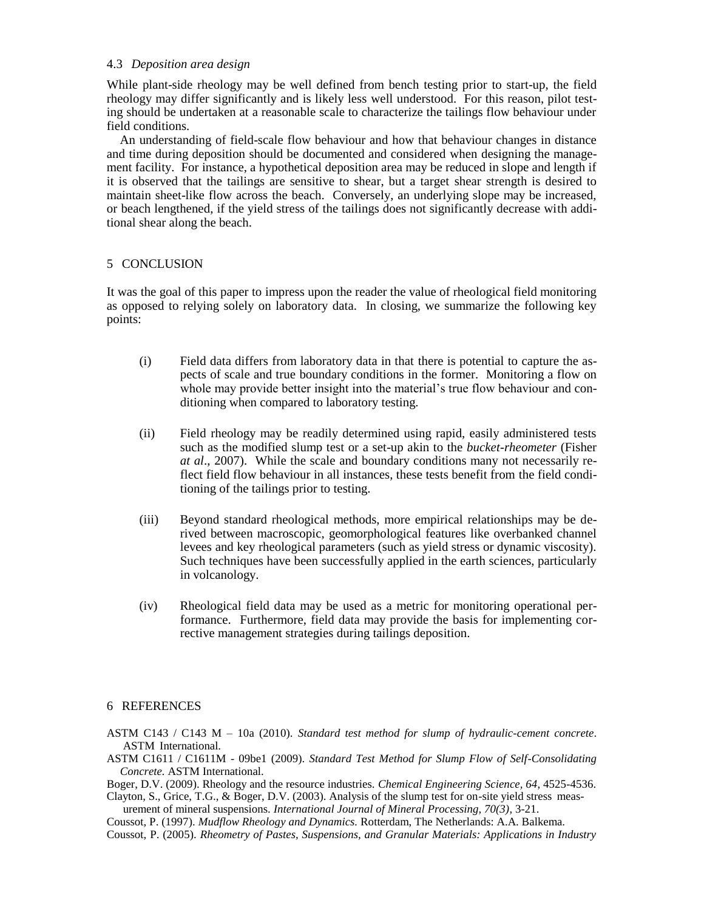## 4.3 *Deposition area design*

While plant-side rheology may be well defined from bench testing prior to start-up, the field rheology may differ significantly and is likely less well understood. For this reason, pilot testing should be undertaken at a reasonable scale to characterize the tailings flow behaviour under field conditions.

An understanding of field-scale flow behaviour and how that behaviour changes in distance and time during deposition should be documented and considered when designing the management facility. For instance, a hypothetical deposition area may be reduced in slope and length if it is observed that the tailings are sensitive to shear, but a target shear strength is desired to maintain sheet-like flow across the beach. Conversely, an underlying slope may be increased, or beach lengthened, if the yield stress of the tailings does not significantly decrease with additional shear along the beach.

## 5 CONCLUSION

It was the goal of this paper to impress upon the reader the value of rheological field monitoring as opposed to relying solely on laboratory data. In closing, we summarize the following key points:

- (i) Field data differs from laboratory data in that there is potential to capture the aspects of scale and true boundary conditions in the former. Monitoring a flow on whole may provide better insight into the material's true flow behaviour and conditioning when compared to laboratory testing.
- (ii) Field rheology may be readily determined using rapid, easily administered tests such as the modified slump test or a set-up akin to the *bucket-rheometer* (Fisher *at al*., 2007). While the scale and boundary conditions many not necessarily reflect field flow behaviour in all instances, these tests benefit from the field conditioning of the tailings prior to testing.
- (iii) Beyond standard rheological methods, more empirical relationships may be derived between macroscopic, geomorphological features like overbanked channel levees and key rheological parameters (such as yield stress or dynamic viscosity). Such techniques have been successfully applied in the earth sciences, particularly in volcanology.
- (iv) Rheological field data may be used as a metric for monitoring operational performance. Furthermore, field data may provide the basis for implementing corrective management strategies during tailings deposition.

## 6 REFERENCES

- ASTM C143 / C143 M 10a (2010). *Standard test method for slump of hydraulic-cement concrete*. ASTM International.
- ASTM C1611 / C1611M 09be1 (2009). *Standard Test Method for Slump Flow of Self-Consolidating Concrete.* ASTM International.
- Boger, D.V. (2009). Rheology and the resource industries. *Chemical Engineering Science, 64*, 4525-4536.
- Clayton, S., Grice, T.G., & Boger, D.V. (2003). Analysis of the slump test for on-site yield stress measurement of mineral suspensions. *International Journal of Mineral Processing, 70(3)*, 3-21.

Coussot, P. (1997). *Mudflow Rheology and Dynamics.* Rotterdam, The Netherlands: A.A. Balkema.

Coussot, P. (2005). *Rheometry of Pastes, Suspensions, and Granular Materials: Applications in Industry*